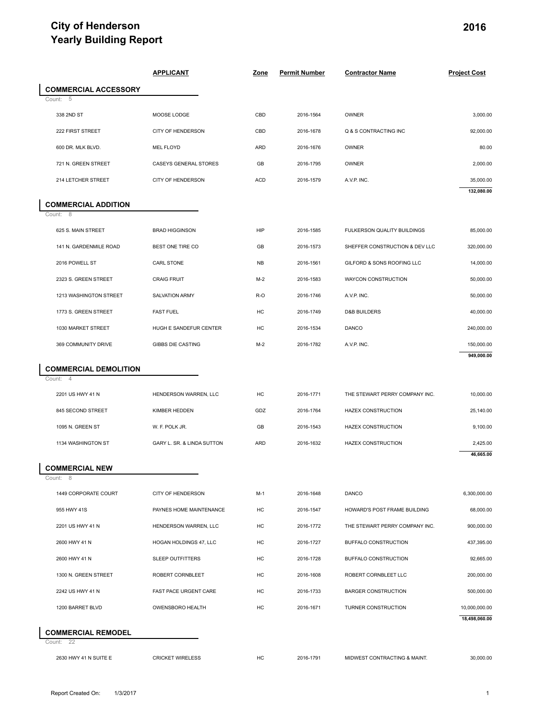### **City of Henderson Yearly Building Report**

|                                              | <b>APPLICANT</b>                             | <b>Zone</b> | <b>Permit Number</b>   | <b>Contractor Name</b>                       | <b>Project Cost</b>                                                                                             |
|----------------------------------------------|----------------------------------------------|-------------|------------------------|----------------------------------------------|-----------------------------------------------------------------------------------------------------------------|
| <b>COMMERCIAL ACCESSORY</b>                  |                                              |             |                        |                                              |                                                                                                                 |
| - 5<br>Count:<br>338 2ND ST                  | MOOSE LODGE                                  | CBD         | 2016-1564              | OWNER                                        | 3,000.00                                                                                                        |
| 222 FIRST STREET                             | CITY OF HENDERSON                            | CBD         | 2016-1678              | Q & S CONTRACTING INC                        | 92,000.00                                                                                                       |
| 600 DR. MLK BLVD.                            | <b>MEL FLOYD</b>                             | <b>ARD</b>  | 2016-1676              | OWNER                                        | 80.00                                                                                                           |
| 721 N. GREEN STREET                          | CASEYS GENERAL STORES                        | GB          | 2016-1795              | OWNER                                        | 2,000.00                                                                                                        |
| 214 LETCHER STREET                           | CITY OF HENDERSON                            | <b>ACD</b>  | 2016-1579              | A.V.P. INC.                                  | 35,000.00                                                                                                       |
|                                              |                                              |             |                        |                                              | 132,080.00                                                                                                      |
| <b>COMMERCIAL ADDITION</b><br>Count: 8       |                                              |             |                        |                                              |                                                                                                                 |
| 625 S. MAIN STREET                           | <b>BRAD HIGGINSON</b>                        | <b>HIP</b>  | 2016-1585              | FULKERSON QUALITY BUILDINGS                  | 85,000.00                                                                                                       |
| 141 N. GARDENMILE ROAD                       | BEST ONE TIRE CO                             | GB          | 2016-1573              | SHEFFER CONSTRUCTION & DEV LLC               | 320,000.00                                                                                                      |
| 2016 POWELL ST                               | CARL STONE                                   | <b>NB</b>   | 2016-1561              | GILFORD & SONS ROOFING LLC                   | 14,000.00                                                                                                       |
| 2323 S. GREEN STREET                         | <b>CRAIG FRUIT</b>                           | $M-2$       | 2016-1583              | WAYCON CONSTRUCTION                          | 50,000.00                                                                                                       |
| 1213 WASHINGTON STREET                       | SALVATION ARMY                               | R-O         | 2016-1746              | A.V.P. INC.                                  | 50,000.00                                                                                                       |
| 1773 S. GREEN STREET                         | <b>FAST FUEL</b>                             | HC          | 2016-1749              | <b>D&amp;B BUILDERS</b>                      | 40,000.00                                                                                                       |
| 1030 MARKET STREET                           | HUGH E SANDEFUR CENTER                       | HC          | 2016-1534              | DANCO                                        | 240,000.00                                                                                                      |
| 369 COMMUNITY DRIVE                          | <b>GIBBS DIE CASTING</b>                     | $M-2$       | 2016-1782              | A.V.P. INC.                                  | 150,000.00                                                                                                      |
|                                              |                                              |             |                        |                                              | 949,000.00                                                                                                      |
| <b>COMMERCIAL DEMOLITION</b><br>Count:<br>-4 |                                              |             |                        |                                              |                                                                                                                 |
| 2201 US HWY 41 N                             | HENDERSON WARREN, LLC                        | HC          | 2016-1771              | THE STEWART PERRY COMPANY INC.               | 10,000.00                                                                                                       |
| 845 SECOND STREET                            | KIMBER HEDDEN                                | GDZ         | 2016-1764              | HAZEX CONSTRUCTION                           | 25,140.00                                                                                                       |
| 1095 N. GREEN ST                             | W. F. POLK JR.                               | GB          | 2016-1543              | HAZEX CONSTRUCTION                           | 9,100.00                                                                                                        |
| 1134 WASHINGTON ST                           | GARY L. SR. & LINDA SUTTON                   | ARD         | 2016-1632              | HAZEX CONSTRUCTION                           | 2,425.00                                                                                                        |
|                                              |                                              |             |                        |                                              | 46,665.00                                                                                                       |
| <b>COMMERCIAL NEW</b>                        |                                              |             |                        |                                              |                                                                                                                 |
|                                              |                                              |             |                        |                                              |                                                                                                                 |
| 8<br>Count:                                  |                                              |             |                        |                                              |                                                                                                                 |
| 1449 CORPORATE COURT<br>955 HWY 41S          | CITY OF HENDERSON<br>PAYNES HOME MAINTENANCE | M-1         | 2016-1648<br>2016-1547 | <b>DANCO</b><br>HOWARD'S POST FRAME BUILDING |                                                                                                                 |
| 2201 US HWY 41 N                             | HENDERSON WARREN, LLC                        | HC<br>HC    | 2016-1772              | THE STEWART PERRY COMPANY INC.               |                                                                                                                 |
| 2600 HWY 41 N                                | HOGAN HOLDINGS 47, LLC                       | HC          | 2016-1727              | BUFFALO CONSTRUCTION                         |                                                                                                                 |
| 2600 HWY 41 N                                | <b>SLEEP OUTFITTERS</b>                      | HC          | 2016-1728              | BUFFALO CONSTRUCTION                         |                                                                                                                 |
| 1300 N. GREEN STREET                         | ROBERT CORNBLEET                             | НC          | 2016-1608              | ROBERT CORNBLEET LLC                         |                                                                                                                 |
| 2242 US HWY 41 N                             | <b>FAST PACE URGENT CARE</b>                 | HC          | 2016-1733              | <b>BARGER CONSTRUCTION</b>                   |                                                                                                                 |
| 1200 BARRET BLVD                             | <b>OWENSBORO HEALTH</b>                      | НC          | 2016-1671              | TURNER CONSTRUCTION                          | 6,300,000.00<br>68,000.00<br>900,000.00<br>437,395.00<br>92,665.00<br>200,000.00<br>500,000.00<br>10,000,000.00 |
|                                              |                                              |             |                        |                                              | 18,498,060.00                                                                                                   |
| <b>COMMERCIAL REMODEL</b><br>Count: 22       |                                              |             |                        |                                              |                                                                                                                 |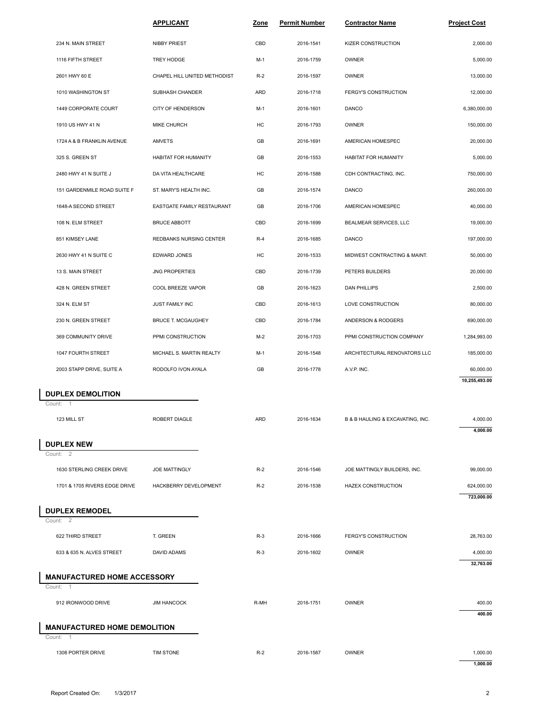|                                                 | <b>APPLICANT</b>             | Zone  | <b>Permit Number</b> | <b>Contractor Name</b>           | <b>Project Cost</b>      |
|-------------------------------------------------|------------------------------|-------|----------------------|----------------------------------|--------------------------|
| 234 N. MAIN STREET                              | <b>NIBBY PRIEST</b>          | CBD   | 2016-1541            | KIZER CONSTRUCTION               | 2,000.00                 |
| 1116 FIFTH STREET                               | TREY HODGE                   | $M-1$ | 2016-1759            | <b>OWNER</b>                     | 5,000.00                 |
| 2601 HWY 60 E                                   | CHAPEL HILL UNITED METHODIST | $R-2$ | 2016-1597            | <b>OWNER</b>                     | 13,000.00                |
| 1010 WASHINGTON ST                              | SUBHASH CHANDER              | ARD   | 2016-1718            | FERGY'S CONSTRUCTION             | 12,000.00                |
| 1449 CORPORATE COURT                            | <b>CITY OF HENDERSON</b>     | M-1   | 2016-1601            | <b>DANCO</b>                     | 6,380,000.00             |
| 1910 US HWY 41 N                                | MIKE CHURCH                  | HC    | 2016-1793            | <b>OWNER</b>                     | 150,000.00               |
| 1724 A & B FRANKLIN AVENUE                      | AMVETS                       | GB    | 2016-1691            | AMERICAN HOMESPEC                | 20,000.00                |
| 325 S. GREEN ST                                 | <b>HABITAT FOR HUMANITY</b>  | GB    | 2016-1553            | <b>HABITAT FOR HUMANITY</b>      | 5,000.00                 |
| 2480 HWY 41 N SUITE J                           | DA VITA HEALTHCARE           | HC    | 2016-1588            | CDH CONTRACTING, INC.            | 750,000.00               |
| 151 GARDENMILE ROAD SUITE F                     | ST. MARY'S HEALTH INC.       | GB    | 2016-1574            | <b>DANCO</b>                     | 260,000.00               |
| 1648-A SECOND STREET                            | EASTGATE FAMILY RESTAURANT   | GB    | 2016-1706            | AMERICAN HOMESPEC                | 40,000.00                |
| 108 N. ELM STREET                               | <b>BRUCE ABBOTT</b>          | CBD   | 2016-1699            | BEALMEAR SERVICES, LLC           | 19,000.00                |
| 851 KIMSEY LANE                                 | REDBANKS NURSING CENTER      | $R-4$ | 2016-1685            | DANCO                            | 197,000.00               |
| 2630 HWY 41 N SUITE C                           | EDWARD JONES                 | HC    | 2016-1533            | MIDWEST CONTRACTING & MAINT.     | 50,000.00                |
| 13 S. MAIN STREET                               | <b>JNG PROPERTIES</b>        | CBD   | 2016-1739            | PETERS BUILDERS                  | 20,000.00                |
| 428 N. GREEN STREET                             | COOL BREEZE VAPOR            | GB    | 2016-1623            | <b>DAN PHILLIPS</b>              | 2,500.00                 |
| 324 N. ELM ST                                   | JUST FAMILY INC              | CBD   | 2016-1613            | LOVE CONSTRUCTION                | 80,000.00                |
| 230 N. GREEN STREET                             | <b>BRUCE T. MCGAUGHEY</b>    | CBD   | 2016-1784            | ANDERSON & RODGERS               | 690,000.00               |
| 369 COMMUNITY DRIVE                             | PPMI CONSTRUCTION            | $M-2$ | 2016-1703            | PPMI CONSTRUCTION COMPANY        | 1,284,993.00             |
| 1047 FOURTH STREET                              | MICHAEL S. MARTIN REALTY     | $M-1$ | 2016-1548            | ARCHITECTURAL RENOVATORS LLC     | 185,000.00               |
| 2003 STAPP DRIVE, SUITE A                       | RODOLFO IVON AYALA           | GB    | 2016-1778            | A.V.P. INC.                      | 60,000.00                |
|                                                 |                              |       |                      |                                  | 10,255,493.00            |
| <b>DUPLEX DEMOLITION</b><br>Count: 1            |                              |       |                      |                                  |                          |
| 123 MILL ST                                     | <b>ROBERT DIAGLE</b>         | ARD   | 2016-1634            | B & B HAULING & EXCAVATING, INC. | 4,000.00<br>4,000.00     |
| <b>DUPLEX NEW</b>                               |                              |       |                      |                                  |                          |
| Count: 2                                        |                              |       |                      |                                  |                          |
| 1630 STERLING CREEK DRIVE                       | <b>JOE MATTINGLY</b>         | $R-2$ | 2016-1546            | JOE MATTINGLY BUILDERS, INC.     | 99,000.00                |
| 1701 & 1705 RIVERS EDGE DRIVE                   | HACKBERRY DEVELOPMENT        | $R-2$ | 2016-1538            | <b>HAZEX CONSTRUCTION</b>        | 624,000.00<br>723,000.00 |
| <b>DUPLEX REMODEL</b><br>Count: 2               |                              |       |                      |                                  |                          |
| 622 THIRD STREET                                | T. GREEN                     | $R-3$ | 2016-1666            | FERGY'S CONSTRUCTION             | 28,763.00                |
| 633 & 635 N. ALVES STREET                       | DAVID ADAMS                  | $R-3$ | 2016-1602            | OWNER                            | 4,000.00                 |
|                                                 |                              |       |                      |                                  | 32,763.00                |
| <b>MANUFACTURED HOME ACCESSORY</b><br>Count: 1  |                              |       |                      |                                  |                          |
| 912 IRONWOOD DRIVE                              | <b>JIM HANCOCK</b>           | R-MH  | 2016-1751            | OWNER                            | 400.00                   |
|                                                 |                              |       |                      |                                  | 400.00                   |
| <b>MANUFACTURED HOME DEMOLITION</b><br>Count: 1 |                              |       |                      |                                  |                          |
| 1308 PORTER DRIVE                               | <b>TIM STONE</b>             | $R-2$ | 2016-1587            | <b>OWNER</b>                     | 1,000.00<br>1,000.00     |
|                                                 |                              |       |                      |                                  |                          |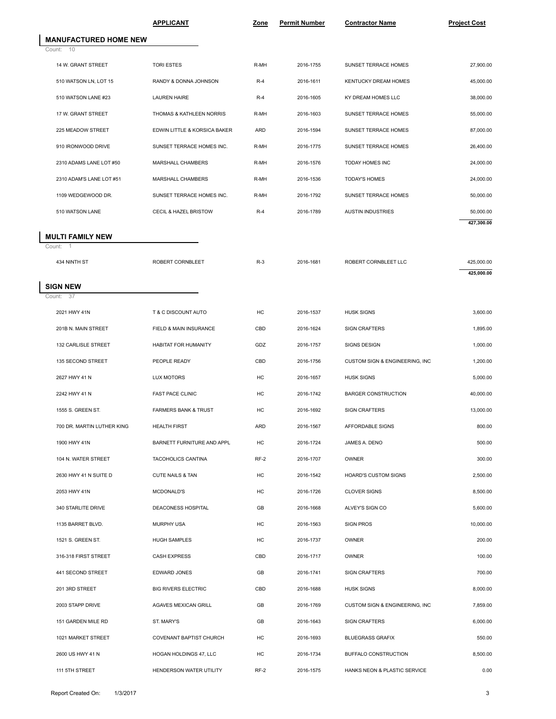|                                   | <b>APPLICANT</b>                 | Zone  | <b>Permit Number</b> | <b>Contractor Name</b>         | <b>Project Cost</b> |
|-----------------------------------|----------------------------------|-------|----------------------|--------------------------------|---------------------|
| <b>MANUFACTURED HOME NEW</b>      |                                  |       |                      |                                |                     |
| 10<br>Count:                      |                                  |       |                      |                                |                     |
| 14 W. GRANT STREET                | <b>TORI ESTES</b>                | R-MH  | 2016-1755            | SUNSET TERRACE HOMES           | 27,900.00           |
| 510 WATSON LN, LOT 15             | RANDY & DONNA JOHNSON            | $R-4$ | 2016-1611            | KENTUCKY DREAM HOMES           | 45,000.00           |
| 510 WATSON LANE #23               | <b>LAUREN HAIRE</b>              | $R-4$ | 2016-1605            | KY DREAM HOMES LLC             | 38,000.00           |
| 17 W. GRANT STREET                | THOMAS & KATHLEEN NORRIS         | R-MH  | 2016-1603            | SUNSET TERRACE HOMES           | 55,000.00           |
| 225 MEADOW STREET                 | EDWIN LITTLE & KORSICA BAKER     | ARD   | 2016-1594            | SUNSET TERRACE HOMES           | 87,000.00           |
| 910 IRONWOOD DRIVE                | SUNSET TERRACE HOMES INC.        | R-MH  | 2016-1775            | SUNSET TERRACE HOMES           | 26,400.00           |
| 2310 ADAMS LANE LOT #50           | MARSHALL CHAMBERS                | R-MH  | 2016-1576            | TODAY HOMES INC                | 24,000.00           |
| 2310 ADAM'S LANE LOT #51          | MARSHALL CHAMBERS                | R-MH  | 2016-1536            | <b>TODAY'S HOMES</b>           | 24,000.00           |
| 1109 WEDGEWOOD DR.                | SUNSET TERRACE HOMES INC.        | R-MH  | 2016-1792            | SUNSET TERRACE HOMES           | 50,000.00           |
| 510 WATSON LANE                   | <b>CECIL &amp; HAZEL BRISTOW</b> | $R-4$ | 2016-1789            | <b>AUSTIN INDUSTRIES</b>       | 50,000.00           |
| <b>MULTI FAMILY NEW</b>           |                                  |       |                      |                                | 427,300.00          |
| Count:<br>$\overline{1}$          |                                  |       |                      |                                |                     |
| 434 NINTH ST                      | ROBERT CORNBLEET                 | $R-3$ | 2016-1681            | ROBERT CORNBLEET LLC           | 425,000.00          |
|                                   |                                  |       |                      |                                | 425,000.00          |
| <b>SIGN NEW</b><br>Count:<br>- 37 |                                  |       |                      |                                |                     |
| 2021 HWY 41N                      | T & C DISCOUNT AUTO              | HC    | 2016-1537            | <b>HUSK SIGNS</b>              | 3,600.00            |
| 201B N. MAIN STREET               | FIELD & MAIN INSURANCE           | CBD   | 2016-1624            | <b>SIGN CRAFTERS</b>           | 1,895.00            |
| 132 CARLISLE STREET               | HABITAT FOR HUMANITY             | GDZ   | 2016-1757            | SIGNS DESIGN                   | 1,000.00            |
| 135 SECOND STREET                 | PEOPLE READY                     | CBD   | 2016-1756            | CUSTOM SIGN & ENGINEERING, INC | 1,200.00            |
| 2627 HWY 41 N                     | <b>LUX MOTORS</b>                | HC    | 2016-1657            | <b>HUSK SIGNS</b>              | 5,000.00            |
| 2242 HWY 41 N                     | <b>FAST PACE CLINIC</b>          | HC    | 2016-1742            | <b>BARGER CONSTRUCTION</b>     | 40,000.00           |
| 1555 S. GREEN ST.                 | <b>FARMERS BANK &amp; TRUST</b>  | HC    | 2016-1692            | <b>SIGN CRAFTERS</b>           | 13,000.00           |
| 700 DR. MARTIN LUTHER KING        | <b>HEALTH FIRST</b>              | ARD   | 2016-1567            | AFFORDABLE SIGNS               | 800.00              |
| 1900 HWY 41N                      | BARNETT FURNITURE AND APPL       | HC    | 2016-1724            | JAMES A. DENO                  | 500.00              |
| 104 N. WATER STREET               | TACOHOLICS CANTINA               | RF-2  | 2016-1707            | OWNER                          | 300.00              |
| 2630 HWY 41 N SUITE D             | CUTE NAILS & TAN                 | HC    | 2016-1542            | HOARD'S CUSTOM SIGNS           | 2,500.00            |
| 2053 HWY 41N                      | MCDONALD'S                       | HC    | 2016-1726            | <b>CLOVER SIGNS</b>            | 8,500.00            |
| 340 STARLITE DRIVE                | <b>DEACONESS HOSPITAL</b>        | GB    | 2016-1668            | ALVEY'S SIGN CO                | 5,600.00            |
| 1135 BARRET BLVD.                 | <b>MURPHY USA</b>                | HC    | 2016-1563            | <b>SIGN PROS</b>               | 10,000.00           |
| 1521 S. GREEN ST.                 | <b>HUGH SAMPLES</b>              | HC    | 2016-1737            | OWNER                          | 200.00              |
| 316-318 FIRST STREET              | <b>CASH EXPRESS</b>              | CBD   | 2016-1717            | OWNER                          | 100.00              |
| 441 SECOND STREET                 |                                  | GB    | 2016-1741            | <b>SIGN CRAFTERS</b>           | 700.00              |
|                                   | EDWARD JONES                     |       |                      |                                |                     |
| 201 3RD STREET                    | <b>BIG RIVERS ELECTRIC</b>       | CBD   | 2016-1688            | <b>HUSK SIGNS</b>              | 8,000.00            |
| 2003 STAPP DRIVE                  | AGAVES MEXICAN GRILL             | GB    | 2016-1769            | CUSTOM SIGN & ENGINEERING, INC | 7,859.00            |
| 151 GARDEN MILE RD                | ST. MARY'S                       | GB    | 2016-1643            | <b>SIGN CRAFTERS</b>           | 6,000.00            |
| 1021 MARKET STREET                | COVENANT BAPTIST CHURCH          | HC    | 2016-1693            | <b>BLUEGRASS GRAFIX</b>        | 550.00              |
| 2600 US HWY 41 N                  | HOGAN HOLDINGS 47, LLC           | HC    | 2016-1734            | BUFFALO CONSTRUCTION           | 8,500.00            |
|                                   |                                  |       |                      |                                |                     |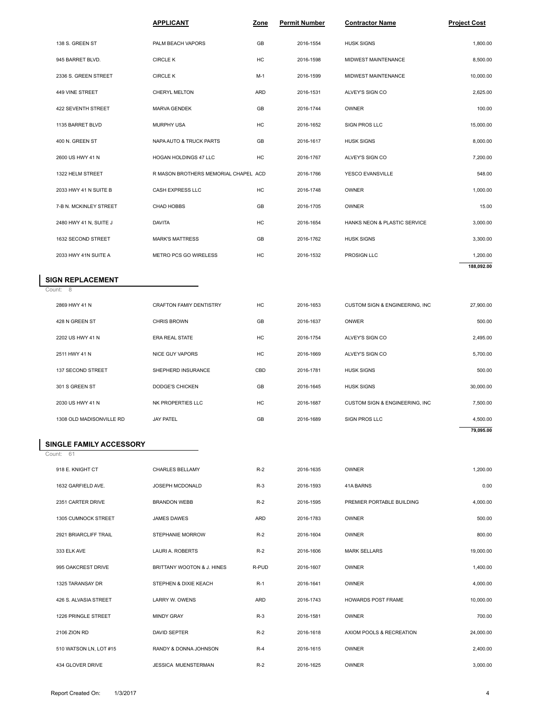|                         | <b>APPLICANT</b>                     | Zone  | <b>Permit Number</b> | <b>Contractor Name</b>         | <b>Project Cost</b> |
|-------------------------|--------------------------------------|-------|----------------------|--------------------------------|---------------------|
| 138 S. GREEN ST         | PALM BEACH VAPORS                    | GB    | 2016-1554            | <b>HUSK SIGNS</b>              | 1,800.00            |
| 945 BARRET BLVD.        | <b>CIRCLE K</b>                      | HC    | 2016-1598            | MIDWEST MAINTENANCE            | 8,500.00            |
| 2336 S. GREEN STREET    | <b>CIRCLE K</b>                      | $M-1$ | 2016-1599            | MIDWEST MAINTENANCE            | 10,000.00           |
| 449 VINE STREET         | CHERYL MELTON                        | ARD   | 2016-1531            | ALVEY'S SIGN CO                | 2,625.00            |
| 422 SEVENTH STREET      | <b>MARVA GENDEK</b>                  | GB    | 2016-1744            | <b>OWNER</b>                   | 100.00              |
| 1135 BARRET BLVD        | <b>MURPHY USA</b>                    | HC    | 2016-1652            | <b>SIGN PROS LLC</b>           | 15,000.00           |
| 400 N. GREEN ST         | NAPA AUTO & TRUCK PARTS              | GB    | 2016-1617            | <b>HUSK SIGNS</b>              | 8,000.00            |
| 2600 US HWY 41 N        | HOGAN HOLDINGS 47 LLC                | HC    | 2016-1767            | ALVEY'S SIGN CO                | 7,200.00            |
| 1322 HELM STREET        | R MASON BROTHERS MEMORIAL CHAPEL ACD |       | 2016-1766            | YESCO EVANSVILLE               | 548.00              |
| 2033 HWY 41 N SUITE B   | CASH EXPRESS LLC                     | HC    | 2016-1748            | <b>OWNER</b>                   | 1,000.00            |
| 7-B N. MCKINLEY STREET  | CHAD HOBBS                           | GB    | 2016-1705            | OWNER                          | 15.00               |
| 2480 HWY 41 N, SUITE J  | <b>DAVITA</b>                        | HC    | 2016-1654            | HANKS NEON & PLASTIC SERVICE   | 3,000.00            |
| 1632 SECOND STREET      | <b>MARK'S MATTRESS</b>               | GB    | 2016-1762            | <b>HUSK SIGNS</b>              | 3,300.00            |
| 2033 HWY 41N SUITE A    | METRO PCS GO WIRELESS                | HC    | 2016-1532            | PROSIGN LLC                    | 1,200.00            |
| <b>SIGN REPLACEMENT</b> |                                      |       |                      |                                | 188,092.00          |
| Count: 8                |                                      |       |                      |                                |                     |
| 2869 HWY 41 N           | <b>CRAFTON FAMIY DENTISTRY</b>       | HC    | 2016-1653            | CUSTOM SIGN & ENGINEERING, INC | 27,900.00           |
| 428 N GREEN ST          | <b>CHRIS BROWN</b>                   | GB    | 2016-1637            | <b>ONWER</b>                   | 500.00              |

| 2033 HWY 41N SUITE A           | METRO PCS GO WIRELESS          | HC    | 2016-1532 | PROSIGN LLC                    | 1,200.00   |  |  |  |  |  |
|--------------------------------|--------------------------------|-------|-----------|--------------------------------|------------|--|--|--|--|--|
|                                |                                |       |           |                                | 188,092.00 |  |  |  |  |  |
| <b>SIGN REPLACEMENT</b>        |                                |       |           |                                |            |  |  |  |  |  |
| Count: 8                       |                                |       |           |                                |            |  |  |  |  |  |
| 2869 HWY 41 N                  | <b>CRAFTON FAMIY DENTISTRY</b> | HC    | 2016-1653 | CUSTOM SIGN & ENGINEERING, INC | 27,900.00  |  |  |  |  |  |
| 428 N GREEN ST                 | <b>CHRIS BROWN</b>             | GB    | 2016-1637 | ONWER                          | 500.00     |  |  |  |  |  |
| 2202 US HWY 41 N               | <b>ERA REAL STATE</b>          | HC    | 2016-1754 | ALVEY'S SIGN CO                | 2,495.00   |  |  |  |  |  |
| 2511 HWY 41 N                  | <b>NICE GUY VAPORS</b>         | HC    | 2016-1669 | ALVEY'S SIGN CO                | 5,700.00   |  |  |  |  |  |
| 137 SECOND STREET              | SHEPHERD INSURANCE             | CBD   | 2016-1781 | <b>HUSK SIGNS</b>              | 500.00     |  |  |  |  |  |
| 301 S GREEN ST                 | <b>DODGE'S CHICKEN</b>         | GB    | 2016-1645 | <b>HUSK SIGNS</b>              | 30,000.00  |  |  |  |  |  |
| 2030 US HWY 41 N               | NK PROPERTIES LLC              | HC    | 2016-1687 | CUSTOM SIGN & ENGINEERING, INC | 7,500.00   |  |  |  |  |  |
| 1308 OLD MADISONVILLE RD       | <b>JAY PATEL</b>               | GB    | 2016-1689 | SIGN PROS LLC                  | 4,500.00   |  |  |  |  |  |
|                                |                                |       |           |                                | 79,095.00  |  |  |  |  |  |
| <b>SINGLE FAMILY ACCESSORY</b> |                                |       |           |                                |            |  |  |  |  |  |
| Count: 61                      |                                |       |           |                                |            |  |  |  |  |  |
| 918 E. KNIGHT CT               | <b>CHARLES BELLAMY</b>         | $R-2$ | 2016-1635 | <b>OWNER</b>                   | 1,200.00   |  |  |  |  |  |
| 1632 GARFIELD AVE.             | JOSEPH MCDONALD                | $R-3$ | 2016-1593 | <b>41A BARNS</b>               | 0.00       |  |  |  |  |  |

#### **SINGLE FAMILY ACCESSORY**

| 1308 OLD MADISONVILLE RD      | <b>JAY PATEL</b>           | GB    | 2016-1689 | SIGN PROS LLC             | 4,500.00  |
|-------------------------------|----------------------------|-------|-----------|---------------------------|-----------|
|                               |                            |       |           |                           | 79,095.00 |
| <b>INGLE FAMILY ACCESSORY</b> |                            |       |           |                           |           |
| ount: 61                      |                            |       |           |                           |           |
| 918 E. KNIGHT CT              | <b>CHARLES BELLAMY</b>     | $R-2$ | 2016-1635 | OWNER                     | 1.200.00  |
| 1632 GARFIELD AVE.            | JOSEPH MCDONALD            | $R-3$ | 2016-1593 | 41A BARNS                 | 0.00      |
| 2351 CARTER DRIVE             | <b>BRANDON WEBB</b>        | $R-2$ | 2016-1595 | PREMIER PORTABLE BUILDING | 4,000.00  |
| 1305 CUMNOCK STREET           | <b>JAMES DAWES</b>         | ARD   | 2016-1783 | OWNER                     | 500.00    |
| 2921 BRIARCLIFF TRAIL         | STEPHANIE MORROW           | $R-2$ | 2016-1604 | OWNER                     | 800.00    |
| 333 ELK AVE                   | LAURI A. ROBERTS           | $R-2$ | 2016-1606 | <b>MARK SELLARS</b>       | 19,000,00 |
| 995 OAKCREST DRIVE            | BRITTANY WOOTON & J. HINES | R-PUD | 2016-1607 | OWNER                     | 1,400.00  |
| 1325 TARANSAY DR              | STEPHEN & DIXIE KEACH      | $R-1$ | 2016-1641 | OWNER                     | 4,000.00  |
| 426 S. ALVASIA STREET         | LARRY W. OWENS             | ARD   | 2016-1743 | <b>HOWARDS POST FRAME</b> | 10.000.00 |
| 1226 PRINGLE STREET           | <b>MINDY GRAY</b>          | $R-3$ | 2016-1581 | OWNER                     | 700.00    |
| 2106 ZION RD                  | <b>DAVID SEPTER</b>        | $R-2$ | 2016-1618 | AXIOM POOLS & RECREATION  | 24,000.00 |
| 510 WATSON LN, LOT #15        | RANDY & DONNA JOHNSON      | $R-4$ | 2016-1615 | OWNER                     | 2,400.00  |
| 434 GLOVER DRIVE              | <b>JESSICA MUENSTERMAN</b> | $R-2$ | 2016-1625 | OWNER                     | 3,000.00  |
|                               |                            |       |           |                           |           |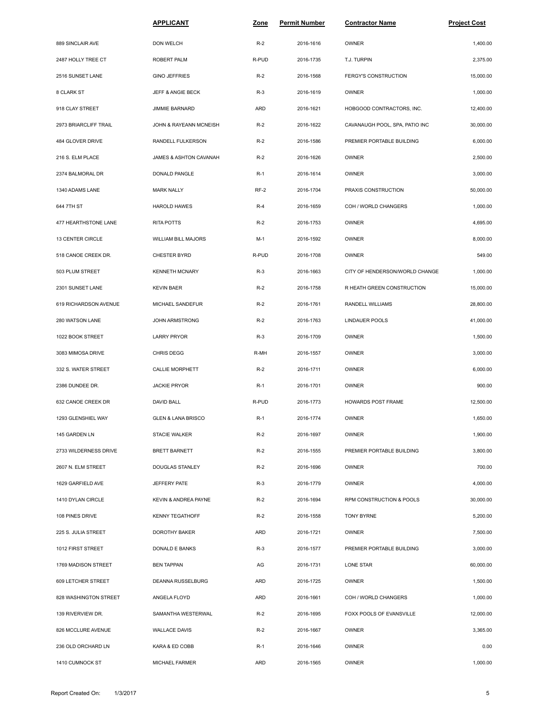|                       | <b>APPLICANT</b>              | Zone       | <b>Permit Number</b> | <b>Contractor Name</b>         | <b>Project Cost</b> |
|-----------------------|-------------------------------|------------|----------------------|--------------------------------|---------------------|
| 889 SINCLAIR AVE      | DON WELCH                     | $R-2$      | 2016-1616            | OWNER                          | 1,400.00            |
| 2487 HOLLY TREE CT    | ROBERT PALM                   | R-PUD      | 2016-1735            | T.J. TURPIN                    | 2,375.00            |
| 2516 SUNSET LANE      | <b>GINO JEFFRIES</b>          | $R-2$      | 2016-1568            | FERGY'S CONSTRUCTION           | 15,000.00           |
| 8 CLARK ST            | <b>JEFF &amp; ANGIE BECK</b>  | $R-3$      | 2016-1619            | OWNER                          | 1,000.00            |
| 918 CLAY STREET       | JIMMIE BARNARD                | ARD        | 2016-1621            | HOBGOOD CONTRACTORS, INC.      | 12,400.00           |
| 2973 BRIARCLIFF TRAIL | JOHN & RAYEANN MCNEISH        | $R-2$      | 2016-1622            | CAVANAUGH POOL, SPA, PATIO INC | 30,000.00           |
| 484 GLOVER DRIVE      | RANDELL FULKERSON             | $R-2$      | 2016-1586            | PREMIER PORTABLE BUILDING      | 6,000.00            |
| 216 S. ELM PLACE      | JAMES & ASHTON CAVANAH        | $R-2$      | 2016-1626            | OWNER                          | 2,500.00            |
| 2374 BALMORAL DR      | DONALD PANGLE                 | $R-1$      | 2016-1614            | <b>OWNER</b>                   | 3,000.00            |
| 1340 ADAMS LANE       | <b>MARK NALLY</b>             | $RF-2$     | 2016-1704            | PRAXIS CONSTRUCTION            | 50,000.00           |
| 644 7TH ST            | <b>HAROLD HAWES</b>           | $R-4$      | 2016-1659            | COH / WORLD CHANGERS           | 1,000.00            |
| 477 HEARTHSTONE LANE  | <b>RITA POTTS</b>             | $R-2$      | 2016-1753            | OWNER                          | 4,695.00            |
| 13 CENTER CIRCLE      | WILLIAM BILL MAJORS           | $M-1$      | 2016-1592            | OWNER                          | 8,000.00            |
| 518 CANOE CREEK DR.   | <b>CHESTER BYRD</b>           | R-PUD      | 2016-1708            | OWNER                          | 549.00              |
| 503 PLUM STREET       | <b>KENNETH MCNARY</b>         | $R-3$      | 2016-1663            | CITY OF HENDERSON/WORLD CHANGE | 1,000.00            |
| 2301 SUNSET LANE      | <b>KEVIN BAER</b>             | $R-2$      | 2016-1758            | R HEATH GREEN CONSTRUCTION     | 15,000.00           |
| 619 RICHARDSON AVENUE | MICHAEL SANDEFUR              | $R-2$      | 2016-1761            | RANDELL WILLIAMS               | 28,800.00           |
| 280 WATSON LANE       | JOHN ARMSTRONG                | $R-2$      | 2016-1763            | LINDAUER POOLS                 | 41,000.00           |
| 1022 BOOK STREET      | <b>LARRY PRYOR</b>            | $R-3$      | 2016-1709            | OWNER                          | 1,500.00            |
| 3083 MIMOSA DRIVE     | CHRIS DEGG                    | R-MH       | 2016-1557            | OWNER                          | 3,000.00            |
| 332 S. WATER STREET   | CALLIE MORPHETT               | $R-2$      | 2016-1711            | OWNER                          | 6,000.00            |
| 2386 DUNDEE DR.       | <b>JACKIE PRYOR</b>           | $R-1$      | 2016-1701            | OWNER                          | 900.00              |
| 632 CANOE CREEK DR    | DAVID BALL                    | R-PUD      | 2016-1773            | HOWARDS POST FRAME             | 12,500.00           |
| 1293 GLENSHIEL WAY    | <b>GLEN &amp; LANA BRISCO</b> | $R-1$      | 2016-1774            | OWNER                          | 1,650.00            |
| 145 GARDEN LN         | <b>STACIE WALKER</b>          | $R-2$      | 2016-1697            | OWNER                          | 1,900.00            |
| 2733 WILDERNESS DRIVE | <b>BRETT BARNETT</b>          | $R-2$      | 2016-1555            | PREMIER PORTABLE BUILDING      | 3,800.00            |
| 2607 N. ELM STREET    | DOUGLAS STANLEY               | $R-2$      | 2016-1696            | OWNER                          | 700.00              |
| 1629 GARFIELD AVE     | JEFFERY PATE                  | $R-3$      | 2016-1779            | OWNER                          | 4,000.00            |
| 1410 DYLAN CIRCLE     | KEVIN & ANDREA PAYNE          | $R-2$      | 2016-1694            | RPM CONSTRUCTION & POOLS       | 30,000.00           |
| 108 PINES DRIVE       | <b>KENNY TEGATHOFF</b>        | $R-2$      | 2016-1558            | <b>TONY BYRNE</b>              | 5,200.00            |
| 225 S. JULIA STREET   | DOROTHY BAKER                 | ARD        | 2016-1721            | OWNER                          | 7,500.00            |
| 1012 FIRST STREET     | DONALD E BANKS                | $R-3$      | 2016-1577            | PREMIER PORTABLE BUILDING      | 3,000.00            |
| 1769 MADISON STREET   | <b>BEN TAPPAN</b>             | AG         | 2016-1731            | LONE STAR                      | 60,000.00           |
| 609 LETCHER STREET    | DEANNA RUSSELBURG             | <b>ARD</b> | 2016-1725            | OWNER                          | 1,500.00            |
| 828 WASHINGTON STREET | ANGELA FLOYD                  | ARD        | 2016-1661            | COH / WORLD CHANGERS           | 1,000.00            |
| 139 RIVERVIEW DR.     | SAMANTHA WESTERWAL            | $R-2$      | 2016-1695            | FOXX POOLS OF EVANSVILLE       | 12,000.00           |
| 826 MCCLURE AVENUE    | <b>WALLACE DAVIS</b>          | $R-2$      | 2016-1667            | <b>OWNER</b>                   | 3,365.00            |
| 236 OLD ORCHARD LN    | KARA & ED COBB                | $R-1$      | 2016-1646            | <b>OWNER</b>                   | 0.00                |
| 1410 CUMNOCK ST       | MICHAEL FARMER                | ARD        | 2016-1565            | OWNER                          | 1,000.00            |
|                       |                               |            |                      |                                |                     |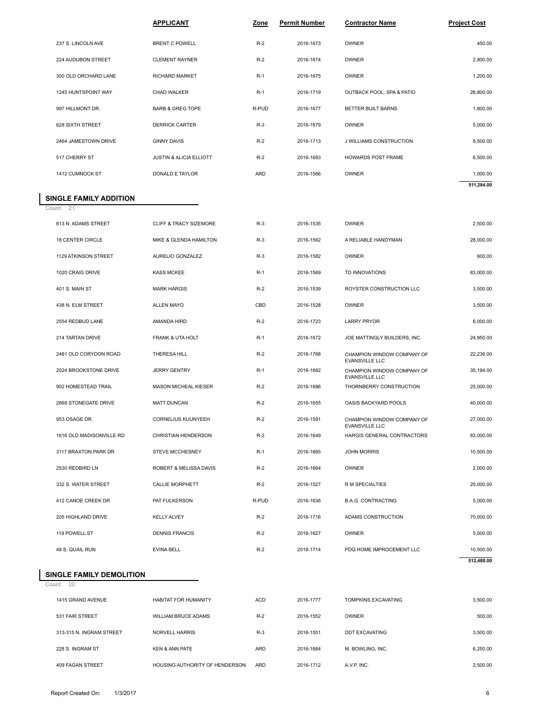|                             | <b>APPLICANT</b>                   | Zone  | <b>Permit Number</b> | <b>Contractor Name</b>    | <b>Project Cost</b> |  |
|-----------------------------|------------------------------------|-------|----------------------|---------------------------|---------------------|--|
| 237 S. LINCOLN AVE          | <b>BRENT C POWELL</b>              | $R-2$ | 2016-1673            | OWNER                     | 450.00              |  |
| 224 AUDUBON STREET          | <b>CLEMENT RAYNER</b>              | $R-2$ | 2016-1674            | OWNER                     | 2,800.00            |  |
| 300 OLD ORCHARD LANE        | <b>RICHARD MARKET</b>              | $R-1$ | 2016-1675            | OWNER                     | 1,200.00            |  |
| 1245 HUNTSPOINT WAY         | CHAD WALKER                        | $R-1$ | 2016-1719            | OUTBACK POOL, SPA & PATIO | 28,800.00           |  |
| 997 HILLMONT DR.            | <b>BARB &amp; GREG TOPE</b>        | R-PUD | 2016-1677            | BETTER BUILT BARNS        | 1,800.00            |  |
| 628 SIXTH STREET            | <b>DERRICK CARTER</b>              | $R-3$ | 2016-1679            | OWNER                     | 5,000.00            |  |
| 2464 JAMESTOWN DRIVE        | <b>GINNY DAVIS</b>                 | $R-2$ | 2016-1713            | J WILLIAMS CONSTRUCTION   | 8,500.00            |  |
| 517 CHERRY ST               | <b>JUSTIN &amp; ALICIA ELLIOTT</b> | $R-2$ | 2016-1683            | <b>HOWARDS POST FRAME</b> | 6,500.00            |  |
| 1412 CUMNOCK ST             | DONALD E TAYLOR                    | ARD   | 2016-1566            | OWNER                     | 1,000.00            |  |
| <b>NGLE FAMILY ADDITION</b> |                                    |       |                      |                           | 511,284.00          |  |
| unt: 21                     |                                    |       |                      |                           |                     |  |
| 813 N. ADAMS STREET         | <b>CLIFF &amp; TRACY SIZEMORE</b>  | $R-3$ | 2016-1535            | OWNER                     | 2,500.00            |  |
| <b>18 CENTER CIRCLE</b>     | MIKE & GLENDA HAMILTON             | $R-3$ | 2016-1562            | A RELIABLE HANDYMAN       | 28,000.00           |  |

# **SINGLE FAMILY ADDITION**<br>Count: 21

| 1412 CUMNOCK ST                               | DONALD E TAYLOR                   | <b>ARD</b> | 2016-1566 | OWNER                                               | 1,000.00   |  |
|-----------------------------------------------|-----------------------------------|------------|-----------|-----------------------------------------------------|------------|--|
|                                               |                                   |            |           |                                                     | 511,284.00 |  |
| <b>INGLE FAMILY ADDITION</b><br>ount: $21$    |                                   |            |           |                                                     |            |  |
| 813 N. ADAMS STREET                           | <b>CLIFF &amp; TRACY SIZEMORE</b> | $R-3$      | 2016-1535 | <b>OWNER</b>                                        | 2,500.00   |  |
| 18 CENTER CIRCLE                              | MIKE & GLENDA HAMILTON            | $R-3$      | 2016-1562 | A RELIABLE HANDYMAN                                 | 28,000.00  |  |
| 1129 ATKINSON STREET                          | AURELIO GONZALEZ                  | $R-3$      | 2016-1582 | OWNER                                               | 600.00     |  |
| 1020 CRAIG DRIVE                              | <b>KASS MCKEE</b>                 | $R-1$      | 2016-1569 | TD INNOVATIONS                                      | 83,000.00  |  |
| 401 S. MAIN ST                                | <b>MARK HARGIS</b>                | $R-2$      | 2016-1539 | ROYSTER CONSTRUCTION LLC                            | 3,500.00   |  |
| 438 N. ELM STREET                             | <b>ALLEN MAYO</b>                 | CBD        | 2016-1528 | OWNER                                               | 3,500.00   |  |
| 2554 REDBUD LANE                              | AMANDA HIRD                       | $R-2$      | 2016-1723 | <b>LARRY PRYOR</b>                                  | 6,000.00   |  |
| 214 TARTAN DRIVE                              | FRANK & UTA HOLT                  | $R-1$      | 2016-1672 | JOE MATTINGLY BUILDERS, INC.                        | 24,950.00  |  |
|                                               |                                   |            |           |                                                     |            |  |
| 2481 OLD CORYDON ROAD                         | THERESA HILL                      | $R-2$      | 2016-1768 | CHAMPION WINDOW COMPANY OF<br><b>EVANSVILLE LLC</b> | 22,236.00  |  |
| 2024 BROOKSTONE DRIVE                         | <b>JERRY GENTRY</b>               | $R-1$      | 2016-1682 | CHAMPION WINDOW COMPANY OF<br>EVANSVILLE LLC        | 35,194.00  |  |
| 902 HOMESTEAD TRAIL                           | <b>MASON MICHEAL KIESER</b>       | $R-2$      | 2016-1686 | THORNBERRY CONSTRUCTION                             | 25,000.00  |  |
| 2669 STONEGATE DRIVE                          | <b>MATT DUNCAN</b>                | $R-2$      | 2016-1655 | OASIS BACKYARD POOLS                                | 40,000.00  |  |
| 953 OSAGE DR.                                 | <b>CORNELIUS KUUNYEEH</b>         | $R-2$      | 2016-1591 | CHAMPION WINDOW COMPANY OF<br><b>EVANSVILLE LLC</b> | 27,000.00  |  |
| 1616 OLD MADISONVILLE RD                      | CHRISTIAN HENDERSON               | $R-2$      | 2016-1649 | HARGIS GENERAL CONTRACTORS                          | 83,000.00  |  |
| 3117 BRAXTON PARK DR                          | <b>STEVE MCCHESNEY</b>            | $R-1$      | 2016-1665 | <b>JOHN MORRIS</b>                                  | 10,500.00  |  |
| 2530 REDBIRD LN                               | ROBERT & MELISSA DAVIS            | $R-2$      | 2016-1664 | OWNER                                               | 2,000.00   |  |
| 332 S. WATER STREET                           | <b>CALLIE MORPHETT</b>            | $R-2$      | 2016-1527 | R M SPECIALTIES                                     | 25,000.00  |  |
| 412 CANOE CREEK DR                            | PAT FULKERSON                     | R-PUD      | 2016-1636 | <b>B.A.G. CONTRACTING</b>                           | 5,000.00   |  |
| 205 HIGHLAND DRIVE                            | <b>KELLY ALVEY</b>                | $R-2$      | 2016-1716 | ADAMS CONSTRUCTION                                  | 70,000.00  |  |
| 119 POWELL ST                                 | <b>DENNIS FRANCIS</b>             | $R-2$      | 2016-1627 | <b>OWNER</b>                                        | 5,000.00   |  |
| 48 S. QUAIL RUN                               | <b>EVINA BELL</b>                 | $R-2$      | 2016-1714 | PDQ HOME IMPROCEMENT LLC                            | 10,500.00  |  |
|                                               |                                   |            |           |                                                     | 512,480.00 |  |
| <b>INGLE FAMILY DEMOLITION</b><br>20<br>ount: |                                   |            |           |                                                     |            |  |
| 1415 GRAND AVENUE                             | HABITAT FOR HUMANITY              | <b>ACD</b> | 2016-1777 | TOMPKINS EXCAVATING                                 | 3,500.00   |  |
| 531 FAIR STREET                               | WILLIAM BRUCE ADAMS               | $R-2$      | 2016-1552 | OWNER                                               | 500.00     |  |

#### Count: 20 **SINGLE FAMILY DEMOLITION**

| 48 S. QUAIL RUN                            | <b>EVINA BELL</b>              | $R-2$ | 2016-1714 | PDQ HOME IMPROCEMENT LLC   | 10,500.00<br>512,480.00 |
|--------------------------------------------|--------------------------------|-------|-----------|----------------------------|-------------------------|
| <b>INGLE FAMILY DEMOLITION</b><br>ount: 20 |                                |       |           |                            |                         |
| 1415 GRAND AVENUE                          | <b>HABITAT FOR HUMANITY</b>    | ACD   | 2016-1777 | <b>TOMPKINS EXCAVATING</b> | 3,500.00                |
| 531 FAIR STREET                            | <b>WILLIAM BRUCE ADAMS</b>     | $R-2$ | 2016-1552 | <b>OWNER</b>               | 500.00                  |
| 313-315 N. INGRAM STREET                   | <b>NORVELL HARRIS</b>          | $R-3$ | 2016-1551 | <b>DDT EXCAVATING</b>      | 3,500.00                |
| 228 S. INGRAM ST                           | <b>KEN &amp; ANN PATE</b>      | ARD   | 2016-1684 | M. BOWLING, INC.           | 6,250.00                |
| 409 FAGAN STREET                           | HOUSING AUTHORITY OF HENDERSON | ARD   | 2016-1712 | A.V.P. INC.                | 2,500.00                |
|                                            |                                |       |           |                            |                         |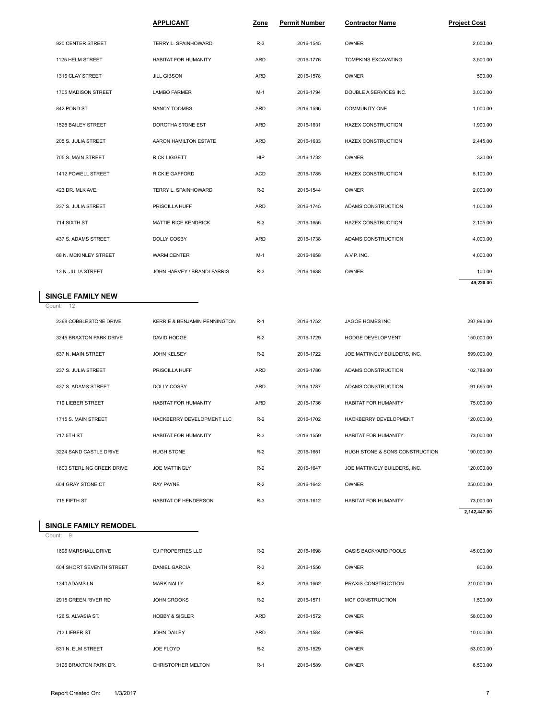|                         | <b>APPLICANT</b>             | Zone       | Permit Number | <b>Contractor Name</b>    | <b>Project Cost</b> |
|-------------------------|------------------------------|------------|---------------|---------------------------|---------------------|
| 920 CENTER STREET       | TERRY L. SPAINHOWARD         | $R-3$      | 2016-1545     | OWNER                     | 2,000.00            |
| 1125 HELM STREET        | <b>HABITAT FOR HUMANITY</b>  | ARD        | 2016-1776     | TOMPKINS EXCAVATING       | 3,500.00            |
| 1316 CLAY STREET        | <b>JILL GIBSON</b>           | <b>ARD</b> | 2016-1578     | <b>OWNER</b>              | 500.00              |
| 1705 MADISON STREET     | <b>LAMBO FARMER</b>          | $M-1$      | 2016-1794     | DOUBLE A SERVICES INC.    | 3,000.00            |
| 842 POND ST             | NANCY TOOMBS                 | ARD        | 2016-1596     | COMMUNITY ONE             | 1,000.00            |
| 1528 BAILEY STREET      | DOROTHA STONE EST            | ARD        | 2016-1631     | <b>HAZEX CONSTRUCTION</b> | 1,900.00            |
| 205 S. JULIA STREET     | AARON HAMILTON ESTATE        | ARD        | 2016-1633     | <b>HAZEX CONSTRUCTION</b> | 2,445.00            |
| 705 S. MAIN STREET      | <b>RICK LIGGETT</b>          | HIP        | 2016-1732     | OWNER                     | 320.00              |
| 1412 POWELL STREET      | <b>RICKIE GAFFORD</b>        | <b>ACD</b> | 2016-1785     | <b>HAZEX CONSTRUCTION</b> | 5,100.00            |
| 423 DR. MLK AVE.        | TERRY L. SPAINHOWARD         | $R-2$      | 2016-1544     | OWNER                     | 2,000.00            |
| 237 S. JULIA STREET     | PRISCILLA HUFF               | ARD        | 2016-1745     | ADAMS CONSTRUCTION        | 1,000.00            |
| 714 SIXTH ST            | <b>MATTIE RICE KENDRICK</b>  | $R-3$      | 2016-1656     | <b>HAZEX CONSTRUCTION</b> | 2,105.00            |
| 437 S. ADAMS STREET     | DOLLY COSBY                  | <b>ARD</b> | 2016-1738     | ADAMS CONSTRUCTION        | 4,000.00            |
| 68 N. MCKINLEY STREET   | <b>WARM CENTER</b>           | M-1        | 2016-1658     | A.V.P. INC.               | 4,000.00            |
| 13 N. JULIA STREET      | JOHN HARVEY / BRANDI FARRIS  | $R-3$      | 2016-1638     | <b>OWNER</b>              | 100.00              |
| NGLE FAMILY NEW         |                              |            |               |                           | 49,220.00           |
| unt: 12                 |                              |            |               |                           |                     |
| 2368 COBBLESTONE DRIVE  | KERRIE & BENJAMIN PENNINGTON | $R-1$      | 2016-1752     | JAGOE HOMES INC           | 297,993.00          |
| 3245 BRAXTON PARK DRIVE | DAVID HODGE                  | $R-2$      | 2016-1729     | HODGE DEVELOPMENT         | 150,000.00          |

## **SINGLE FAMILY NEW**<br>Count: 12

| 13 N. JULIA STREET           | JOHN HARVEY / BRANDI FARRIS  | $R-3$ | 2016-1638 | <b>OWNER</b>                   | 100.00       |
|------------------------------|------------------------------|-------|-----------|--------------------------------|--------------|
|                              |                              |       |           |                                | 49,220.00    |
| <b>SINGLE FAMILY NEW</b>     |                              |       |           |                                |              |
| Count: 12                    |                              |       |           |                                |              |
| 2368 COBBLESTONE DRIVE       | KERRIE & BENJAMIN PENNINGTON | $R-1$ | 2016-1752 | JAGOE HOMES INC                | 297,993.00   |
| 3245 BRAXTON PARK DRIVE      | DAVID HODGE                  | $R-2$ | 2016-1729 | HODGE DEVELOPMENT              | 150,000.00   |
| 637 N. MAIN STREET           | <b>JOHN KELSEY</b>           | $R-2$ | 2016-1722 | JOE MATTINGLY BUILDERS, INC.   | 599,000.00   |
| 237 S. JULIA STREET          | PRISCILLA HUFF               | ARD   | 2016-1786 | ADAMS CONSTRUCTION             | 102,789.00   |
| 437 S. ADAMS STREET          | DOLLY COSBY                  | ARD   | 2016-1787 | ADAMS CONSTRUCTION             | 91,665.00    |
| 719 LIEBER STREET            | <b>HABITAT FOR HUMANITY</b>  | ARD   | 2016-1736 | <b>HABITAT FOR HUMANITY</b>    | 75,000.00    |
| 1715 S. MAIN STREET          | HACKBERRY DEVELOPMENT LLC    | $R-2$ | 2016-1702 | HACKBERRY DEVELOPMENT          | 120,000.00   |
| 717 5TH ST                   | <b>HABITAT FOR HUMANITY</b>  | $R-3$ | 2016-1559 | <b>HABITAT FOR HUMANITY</b>    | 73,000.00    |
| 3224 SAND CASTLE DRIVE       | <b>HUGH STONE</b>            | $R-2$ | 2016-1651 | HUGH STONE & SONS CONSTRUCTION | 190,000.00   |
| 1600 STERLING CREEK DRIVE    | <b>JOE MATTINGLY</b>         | $R-2$ | 2016-1647 | JOE MATTINGLY BUILDERS, INC.   | 120,000.00   |
| 604 GRAY STONE CT            | <b>RAY PAYNE</b>             | $R-2$ | 2016-1642 | <b>OWNER</b>                   | 250,000.00   |
| 715 FIFTH ST                 | <b>HABITAT OF HENDERSON</b>  | $R-3$ | 2016-1612 | <b>HABITAT FOR HUMANITY</b>    | 73,000.00    |
|                              |                              |       |           |                                | 2,142,447.00 |
| <b>SINGLE FAMILY REMODEL</b> |                              |       |           |                                |              |
| Count: 9                     |                              |       |           |                                |              |
| 1696 MARSHALL DRIVE          | <b>QJ PROPERTIES LLC</b>     | $R-2$ | 2016-1698 | OASIS BACKYARD POOLS           | 45,000.00    |
| 604 SHORT SEVENTH STREET     | <b>DANIEL GARCIA</b>         | $R-3$ | 2016-1556 | <b>OWNER</b>                   | 800.00       |

#### **SINGLE FAMILY REMODEL**

Count: 9

| 715 FIFTH ST             | <b>HABITAT OF HENDERSON</b> | $R-3$      | 2016-1612 | <b>HABITAT FOR HUMANITY</b> | 73,000.00    |
|--------------------------|-----------------------------|------------|-----------|-----------------------------|--------------|
|                          |                             |            |           |                             | 2,142,447.00 |
| SINGLE FAMILY REMODEL    |                             |            |           |                             |              |
| Count: 9                 |                             |            |           |                             |              |
| 1696 MARSHALL DRIVE      | <b>QJ PROPERTIES LLC</b>    | $R-2$      | 2016-1698 | OASIS BACKYARD POOLS        | 45,000.00    |
| 604 SHORT SEVENTH STREET | <b>DANIEL GARCIA</b>        | $R-3$      | 2016-1556 | OWNER                       | 800.00       |
| 1340 ADAMS LN            | <b>MARK NALLY</b>           | $R-2$      | 2016-1662 | PRAXIS CONSTRUCTION         | 210,000.00   |
| 2915 GREEN RIVER RD      | <b>JOHN CROOKS</b>          | $R-2$      | 2016-1571 | <b>MCF CONSTRUCTION</b>     | 1,500.00     |
| 126 S. ALVASIA ST.       | <b>HOBBY &amp; SIGLER</b>   | <b>ARD</b> | 2016-1572 | OWNER                       | 58,000.00    |
| 713 LIEBER ST            | JOHN DAILEY                 | <b>ARD</b> | 2016-1584 | OWNER                       | 10,000.00    |
| 631 N. ELM STREET        | JOE FLOYD                   | $R-2$      | 2016-1529 | OWNER                       | 53,000.00    |
| 3126 BRAXTON PARK DR.    | CHRISTOPHER MELTON          | $R-1$      | 2016-1589 | OWNER                       | 6,500.00     |
|                          |                             |            |           |                             |              |